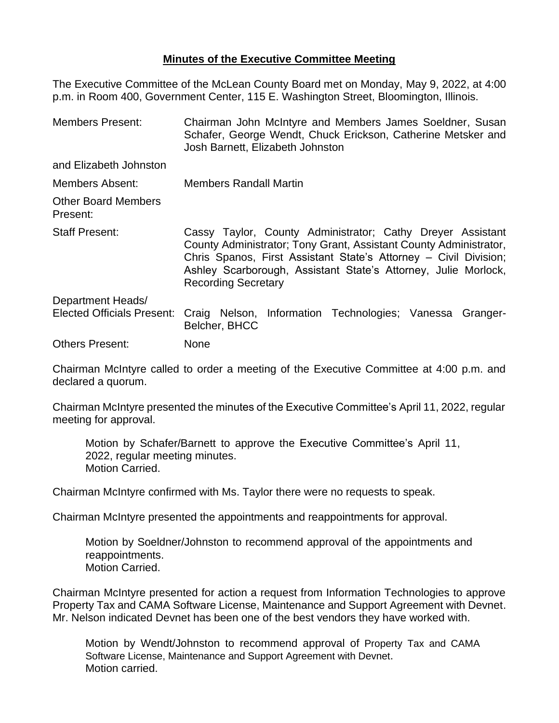## **Minutes of the Executive Committee Meeting**

The Executive Committee of the McLean County Board met on Monday, May 9, 2022, at 4:00 p.m. in Room 400, Government Center, 115 E. Washington Street, Bloomington, Illinois.

| <b>Members Present:</b>                | Chairman John McIntyre and Members James Soeldner, Susan<br>Schafer, George Wendt, Chuck Erickson, Catherine Metsker and<br>Josh Barnett, Elizabeth Johnston                                                                                                                                        |  |  |  |
|----------------------------------------|-----------------------------------------------------------------------------------------------------------------------------------------------------------------------------------------------------------------------------------------------------------------------------------------------------|--|--|--|
| and Elizabeth Johnston                 |                                                                                                                                                                                                                                                                                                     |  |  |  |
| Members Absent:                        | <b>Members Randall Martin</b>                                                                                                                                                                                                                                                                       |  |  |  |
| <b>Other Board Members</b><br>Present: |                                                                                                                                                                                                                                                                                                     |  |  |  |
| <b>Staff Present:</b>                  | Cassy Taylor, County Administrator; Cathy Dreyer Assistant<br>County Administrator; Tony Grant, Assistant County Administrator,<br>Chris Spanos, First Assistant State's Attorney – Civil Division;<br>Ashley Scarborough, Assistant State's Attorney, Julie Morlock,<br><b>Recording Secretary</b> |  |  |  |
| Department Heads/                      |                                                                                                                                                                                                                                                                                                     |  |  |  |
| <b>Elected Officials Present:</b>      | Craig Nelson, Information Technologies; Vanessa Granger-<br>Belcher, BHCC                                                                                                                                                                                                                           |  |  |  |
| <b>Others Present:</b>                 | <b>None</b>                                                                                                                                                                                                                                                                                         |  |  |  |

Chairman McIntyre called to order a meeting of the Executive Committee at 4:00 p.m. and declared a quorum.

Chairman McIntyre presented the minutes of the Executive Committee's April 11, 2022, regular meeting for approval.

Motion by Schafer/Barnett to approve the Executive Committee's April 11, 2022, regular meeting minutes. Motion Carried.

Chairman McIntyre confirmed with Ms. Taylor there were no requests to speak.

Chairman McIntyre presented the appointments and reappointments for approval.

Motion by Soeldner/Johnston to recommend approval of the appointments and reappointments. Motion Carried.

Chairman McIntyre presented for action a request from Information Technologies to approve Property Tax and CAMA Software License, Maintenance and Support Agreement with Devnet. Mr. Nelson indicated Devnet has been one of the best vendors they have worked with.

Motion by Wendt/Johnston to recommend approval of Property Tax and CAMA Software License, Maintenance and Support Agreement with Devnet. Motion carried.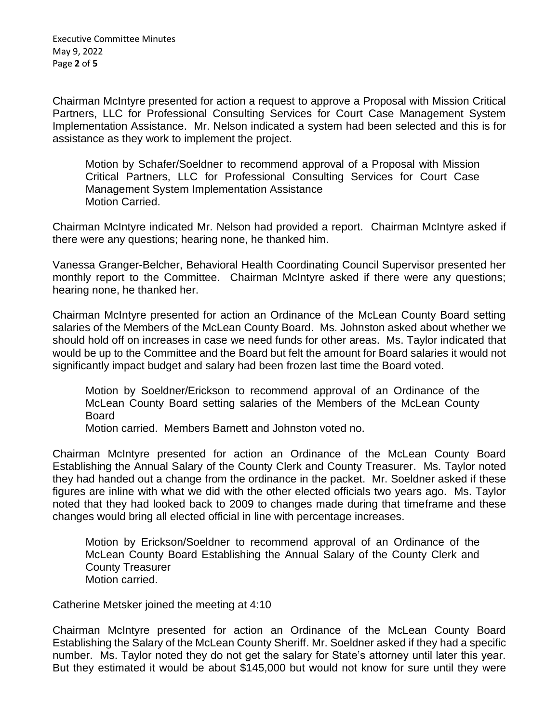Executive Committee Minutes May 9, 2022 Page **2** of **5**

Chairman McIntyre presented for action a request to approve a Proposal with Mission Critical Partners, LLC for Professional Consulting Services for Court Case Management System Implementation Assistance. Mr. Nelson indicated a system had been selected and this is for assistance as they work to implement the project.

Motion by Schafer/Soeldner to recommend approval of a Proposal with Mission Critical Partners, LLC for Professional Consulting Services for Court Case Management System Implementation Assistance Motion Carried.

Chairman McIntyre indicated Mr. Nelson had provided a report. Chairman McIntyre asked if there were any questions; hearing none, he thanked him.

Vanessa Granger-Belcher, Behavioral Health Coordinating Council Supervisor presented her monthly report to the Committee. Chairman McIntyre asked if there were any questions; hearing none, he thanked her.

Chairman McIntyre presented for action an Ordinance of the McLean County Board setting salaries of the Members of the McLean County Board. Ms. Johnston asked about whether we should hold off on increases in case we need funds for other areas. Ms. Taylor indicated that would be up to the Committee and the Board but felt the amount for Board salaries it would not significantly impact budget and salary had been frozen last time the Board voted.

Motion by Soeldner/Erickson to recommend approval of an Ordinance of the McLean County Board setting salaries of the Members of the McLean County Board

Motion carried. Members Barnett and Johnston voted no.

Chairman McIntyre presented for action an Ordinance of the McLean County Board Establishing the Annual Salary of the County Clerk and County Treasurer. Ms. Taylor noted they had handed out a change from the ordinance in the packet. Mr. Soeldner asked if these figures are inline with what we did with the other elected officials two years ago. Ms. Taylor noted that they had looked back to 2009 to changes made during that timeframe and these changes would bring all elected official in line with percentage increases.

Motion by Erickson/Soeldner to recommend approval of an Ordinance of the McLean County Board Establishing the Annual Salary of the County Clerk and County Treasurer Motion carried.

Catherine Metsker joined the meeting at 4:10

Chairman McIntyre presented for action an Ordinance of the McLean County Board Establishing the Salary of the McLean County Sheriff. Mr. Soeldner asked if they had a specific number. Ms. Taylor noted they do not get the salary for State's attorney until later this year. But they estimated it would be about \$145,000 but would not know for sure until they were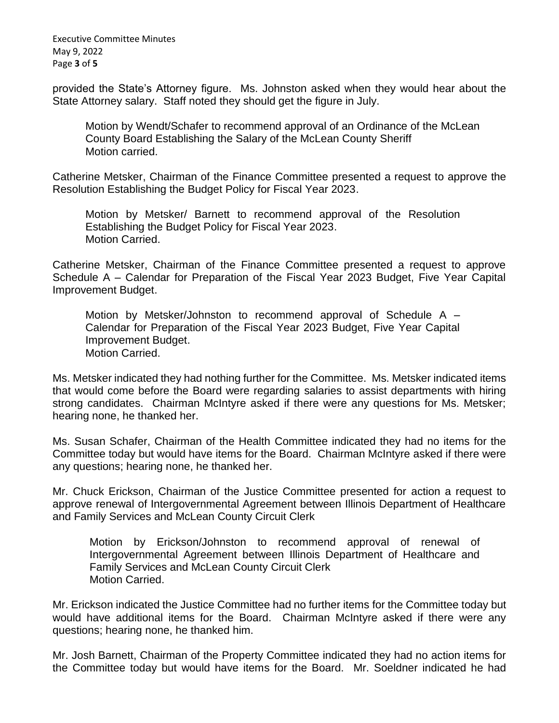Executive Committee Minutes May 9, 2022 Page **3** of **5**

provided the State's Attorney figure. Ms. Johnston asked when they would hear about the State Attorney salary. Staff noted they should get the figure in July.

Motion by Wendt/Schafer to recommend approval of an Ordinance of the McLean County Board Establishing the Salary of the McLean County Sheriff Motion carried.

Catherine Metsker, Chairman of the Finance Committee presented a request to approve the Resolution Establishing the Budget Policy for Fiscal Year 2023.

Motion by Metsker/ Barnett to recommend approval of the Resolution Establishing the Budget Policy for Fiscal Year 2023. Motion Carried.

Catherine Metsker, Chairman of the Finance Committee presented a request to approve Schedule A – Calendar for Preparation of the Fiscal Year 2023 Budget, Five Year Capital Improvement Budget.

Motion by Metsker/Johnston to recommend approval of Schedule A – Calendar for Preparation of the Fiscal Year 2023 Budget, Five Year Capital Improvement Budget. Motion Carried.

Ms. Metsker indicated they had nothing further for the Committee. Ms. Metsker indicated items that would come before the Board were regarding salaries to assist departments with hiring strong candidates. Chairman McIntyre asked if there were any questions for Ms. Metsker; hearing none, he thanked her.

Ms. Susan Schafer, Chairman of the Health Committee indicated they had no items for the Committee today but would have items for the Board. Chairman McIntyre asked if there were any questions; hearing none, he thanked her.

Mr. Chuck Erickson, Chairman of the Justice Committee presented for action a request to approve renewal of Intergovernmental Agreement between Illinois Department of Healthcare and Family Services and McLean County Circuit Clerk

Motion by Erickson/Johnston to recommend approval of renewal of Intergovernmental Agreement between Illinois Department of Healthcare and Family Services and McLean County Circuit Clerk Motion Carried.

Mr. Erickson indicated the Justice Committee had no further items for the Committee today but would have additional items for the Board. Chairman McIntyre asked if there were any questions; hearing none, he thanked him.

Mr. Josh Barnett, Chairman of the Property Committee indicated they had no action items for the Committee today but would have items for the Board. Mr. Soeldner indicated he had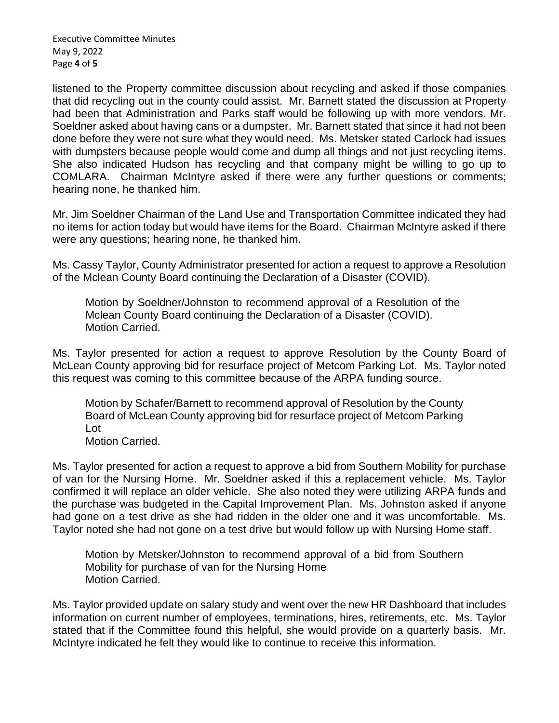Executive Committee Minutes May 9, 2022 Page **4** of **5**

listened to the Property committee discussion about recycling and asked if those companies that did recycling out in the county could assist. Mr. Barnett stated the discussion at Property had been that Administration and Parks staff would be following up with more vendors. Mr. Soeldner asked about having cans or a dumpster. Mr. Barnett stated that since it had not been done before they were not sure what they would need. Ms. Metsker stated Carlock had issues with dumpsters because people would come and dump all things and not just recycling items. She also indicated Hudson has recycling and that company might be willing to go up to COMLARA. Chairman McIntyre asked if there were any further questions or comments; hearing none, he thanked him.

Mr. Jim Soeldner Chairman of the Land Use and Transportation Committee indicated they had no items for action today but would have items for the Board. Chairman McIntyre asked if there were any questions; hearing none, he thanked him.

Ms. Cassy Taylor, County Administrator presented for action a request to approve a Resolution of the Mclean County Board continuing the Declaration of a Disaster (COVID).

Motion by Soeldner/Johnston to recommend approval of a Resolution of the Mclean County Board continuing the Declaration of a Disaster (COVID). Motion Carried.

Ms. Taylor presented for action a request to approve Resolution by the County Board of McLean County approving bid for resurface project of Metcom Parking Lot. Ms. Taylor noted this request was coming to this committee because of the ARPA funding source.

Motion by Schafer/Barnett to recommend approval of Resolution by the County Board of McLean County approving bid for resurface project of Metcom Parking Lot Motion Carried.

Ms. Taylor presented for action a request to approve a bid from Southern Mobility for purchase of van for the Nursing Home. Mr. Soeldner asked if this a replacement vehicle. Ms. Taylor confirmed it will replace an older vehicle. She also noted they were utilizing ARPA funds and the purchase was budgeted in the Capital Improvement Plan. Ms. Johnston asked if anyone had gone on a test drive as she had ridden in the older one and it was uncomfortable. Ms. Taylor noted she had not gone on a test drive but would follow up with Nursing Home staff.

Motion by Metsker/Johnston to recommend approval of a bid from Southern Mobility for purchase of van for the Nursing Home Motion Carried.

Ms. Taylor provided update on salary study and went over the new HR Dashboard that includes information on current number of employees, terminations, hires, retirements, etc. Ms. Taylor stated that if the Committee found this helpful, she would provide on a quarterly basis. Mr. McIntyre indicated he felt they would like to continue to receive this information.